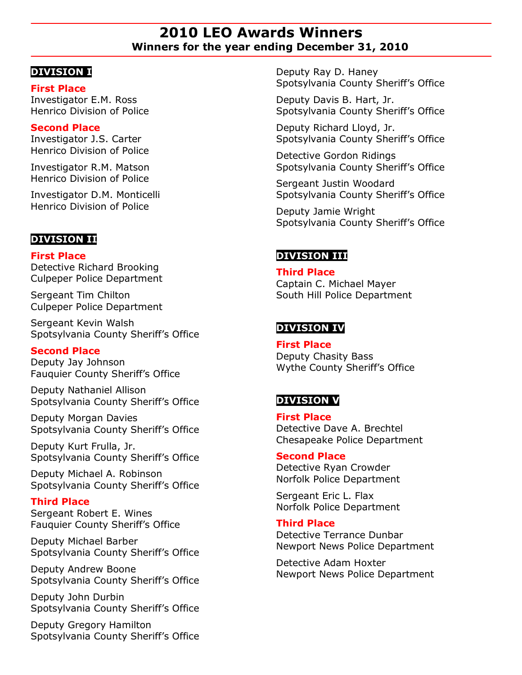# **2010 LEO Awards Winners Winners for the year ending December 31, 2010**

## **DIVISION I**

## **First Place**

Investigator E.M. Ross Henrico Division of Police

## **Second Place**

Investigator J.S. Carter Henrico Division of Police

Investigator R.M. Matson Henrico Division of Police

Investigator D.M. Monticelli Henrico Division of Police

# **DIVISION II**

### **First Place**

Detective Richard Brooking Culpeper Police Department

Sergeant Tim Chilton Culpeper Police Department

Sergeant Kevin Walsh Spotsylvania County Sheriff's Office

## **Second Place**

Deputy Jay Johnson Fauquier County Sheriff's Office

Deputy Nathaniel Allison Spotsylvania County Sheriff's Office

Deputy Morgan Davies Spotsylvania County Sheriff's Office

Deputy Kurt Frulla, Jr. Spotsylvania County Sheriff's Office

Deputy Michael A. Robinson Spotsylvania County Sheriff's Office

## **Third Place**

Sergeant Robert E. Wines Fauquier County Sheriff's Office

Deputy Michael Barber Spotsylvania County Sheriff's Office

Deputy Andrew Boone Spotsylvania County Sheriff's Office

Deputy John Durbin Spotsylvania County Sheriff's Office

Deputy Gregory Hamilton Spotsylvania County Sheriff's Office Deputy Ray D. Haney Spotsylvania County Sheriff's Office

Deputy Davis B. Hart, Jr. Spotsylvania County Sheriff's Office

Deputy Richard Lloyd, Jr. Spotsylvania County Sheriff's Office

Detective Gordon Ridings Spotsylvania County Sheriff's Office

Sergeant Justin Woodard Spotsylvania County Sheriff's Office

Deputy Jamie Wright Spotsylvania County Sheriff's Office

# **DIVISION III**

## **Third Place**

Captain C. Michael Mayer South Hill Police Department

# **DIVISION IV**

**First Place**  Deputy Chasity Bass Wythe County Sheriff's Office

# **DIVISION V**

**First Place** Detective Dave A. Brechtel Chesapeake Police Department

#### **Second Place**

Detective Ryan Crowder Norfolk Police Department

Sergeant Eric L. Flax Norfolk Police Department

### **Third Place**

Detective Terrance Dunbar Newport News Police Department

Detective Adam Hoxter Newport News Police Department